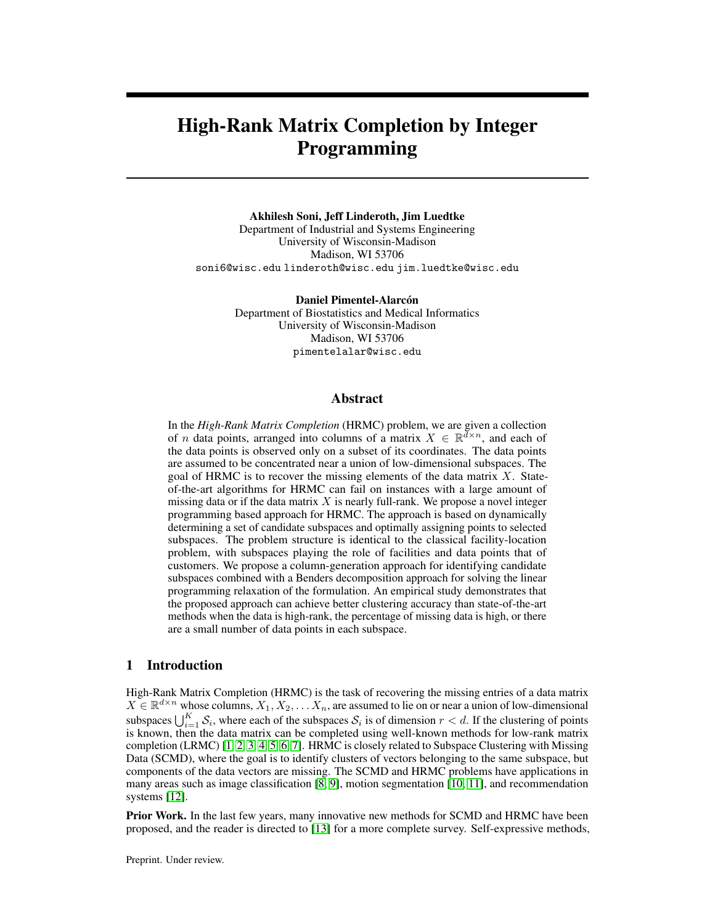# High-Rank Matrix Completion by Integer Programming

#### Akhilesh Soni, Jeff Linderoth, Jim Luedtke

Department of Industrial and Systems Engineering University of Wisconsin-Madison Madison, WI 53706 soni6@wisc.edu linderoth@wisc.edu jim.luedtke@wisc.edu

> Daniel Pimentel-Alarcón Department of Biostatistics and Medical Informatics University of Wisconsin-Madison Madison, WI 53706 pimentelalar@wisc.edu

## Abstract

In the *High-Rank Matrix Completion* (HRMC) problem, we are given a collection of *n* data points, arranged into columns of a matrix  $X \in \mathbb{R}^{d \times n}$ , and each of the data points is observed only on a subset of its coordinates. The data points are assumed to be concentrated near a union of low-dimensional subspaces. The goal of HRMC is to recover the missing elements of the data matrix  $X$ . Stateof-the-art algorithms for HRMC can fail on instances with a large amount of missing data or if the data matrix  $X$  is nearly full-rank. We propose a novel integer programming based approach for HRMC. The approach is based on dynamically determining a set of candidate subspaces and optimally assigning points to selected subspaces. The problem structure is identical to the classical facility-location problem, with subspaces playing the role of facilities and data points that of customers. We propose a column-generation approach for identifying candidate subspaces combined with a Benders decomposition approach for solving the linear programming relaxation of the formulation. An empirical study demonstrates that the proposed approach can achieve better clustering accuracy than state-of-the-art methods when the data is high-rank, the percentage of missing data is high, or there are a small number of data points in each subspace.

## 1 Introduction

High-Rank Matrix Completion (HRMC) is the task of recovering the missing entries of a data matrix  $X \in \mathbb{R}^{d \times n}$  whose columns,  $X_1, X_2, \ldots, X_n$ , are assumed to lie on or near a union of low-dimensional subspaces  $\bigcup_{i=1}^K S_i$ , where each of the subspaces  $S_i$  is of dimension  $r < d$ . If the clustering of points is known, then the data matrix can be completed using well-known methods for low-rank matrix completion (LRMC) [1, 2, 3, 4, 5, 6, 7]. HRMC is closely related to Subspace Clustering with Missing Data (SCMD), where the goal is to identify clusters of vectors belonging to the same subspace, but components of the data vectors are missing. The SCMD and HRMC problems have applications in many areas such as image classification [8, 9], motion segmentation [10, 11], and recommendation systems [12].

**Prior Work.** In the last few years, many innovative new methods for SCMD and HRMC have been proposed, and the reader is directed to [13] for a more complete survey. Self-expressive methods,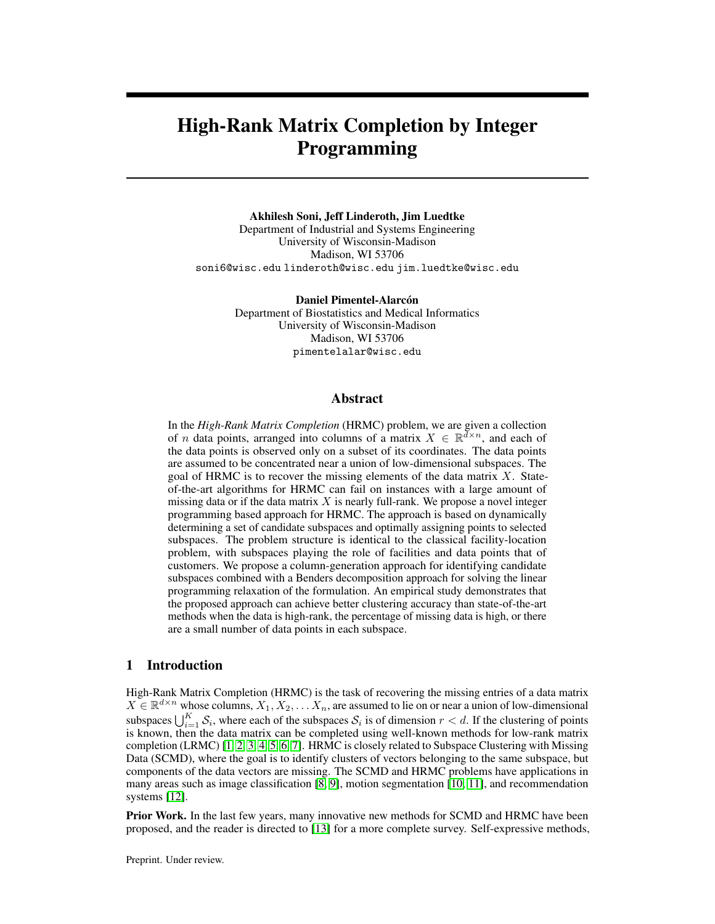originally proposed for complete data by Elhamifar and Vidal [14], are based on expressing each data point as a sparse linear combination of other data points. These methods have been extended to the case of missing data [15, [16,](#page-11-0) [17,](#page-11-1) [18,](#page-11-2) [19,](#page-11-3) [20\]](#page-11-4). Self-expressive methods may have trouble recovering the matrix or correctly clustering the data points when the percentage of missing data is high or the matrix is high-rank, i.e., when  $Kr \approx d$ . Algebraic methods that perform matrix completion without explicit clustering have also been proposed [\[21,](#page-11-5) [22,](#page-11-6) [23\]](#page-11-7). Algebraic methods often require a large number of points per subspace for good performance.

Another family of methods for HRMC is based on matrix factorization that directly seeks the bases of the low-dimensional subspaces [\[24,](#page-11-8) [25\]](#page-11-9). The resulting optimization problems are non-convex, and thus these methods are prone to converge to locally-optimal solutions. Lane et al. [13] recently did an extensive empirical evaluation of existing SCMD algorithms and concluded that zero filled sparse subspace clustering methods (based on self expressiveness) [15], when alternated with low-rank matrix completion [\[16\]](#page-11-0), showed the overall best performance. This method is referred to as Alt-PZF-EnSC+gLRMC where Alt stands for Alternating, PZF for projected-zero filled, EnSC for elastic net subspace clustering [\[26\]](#page-11-10), and gLRMC for group low-rank matrix completion. A disadvantage of this method is that it requires setting two regularization hyperparameters.

Mixed integer linear programming (MILP)-based methods for subspace clustering and related problems haven't been extensively explored. One exception is the work of Hu et al. [\[27\]](#page-11-11), who give an integer programming model for subspace clustering. The model contains binary variables that assign data points to subspaces, so is similar to the model we propose in Section [2.](#page-1-0) However, the approach does not account for missing data, assumes that candidate subspaces are explicitly enumerated as input to the model, and does not scale well to large instances

Paper contributions. We propose a novel MILP solution framework for the HRMC problem that is based on dynamically determining a set of candidate subspaces and optimally assigning data points to the closest selected subspace. A key challenge in this approach is identifying, in a rigorous manner, a suitable set of candidate subspaces to include in the formulation. We cast this subspace generation problem as a nonlinear nonconvex optimization problem and propose a gradient-based approximate solution approach. Our framework can readily accommodate a huge number of candidate subspaces through its use of Benders decomposition to solve the linear programming (LP) relaxation of the MILP. The model has the advantage of integrating the subspace generation and clustering in a single, unified optimization framework. Our modeling framework also has the flexibility to include prior information about the data, if available. For example, information on a subset of points lying in the same subspace (or not) and information on lower and upper bounds on the number of subspaces or their dimensions can easily be included. Other advantages of our approach is that it does not require parameter tuning for good model performance and can easily incorporate constraints on the clusters.

As our work proposes a new method for solving an existing problem, we are not aware of potential negative societal impacts of this work.

The paper begins with a description of the integer programming formulation in Section [2.](#page-1-0) Section 3 discusses our decomposition approach to solve the model, and Section 4 presents experimental results that show the effectiveness of our framework.

## <span id="page-1-0"></span>2 Integer Programming Formulation

We assume that we are given a data matrix  $X \in \mathbb{R}^{d \times n}$ , with missing entries, whose columns are concentrated near a union of  $K$  subspaces, and each subspace is of dimension  $r$ . Note that the matrix X is low-rank when  $Kr \ll \min\{d, n\}$  and high-rank when  $Kr \approx \min\{d, n\}$ . We let  $\in \{0, 1\}^{d \times n}$ be the indicator matrix of observed entries for X, and we denote the set of integers  $\{1, 2, \ldots, T\}$  as  $[T]$ .

Our approach is based on iteratively building a (potentially very large) collection  $T$  of candidate subspaces. Integer programming is then employed to simultaneously select the best set of  $K$  candidate subspaces and assign each column of  $X$  to its closest selected subspace. For each candidate subspace  $t \in [T]$ , we let  $U_t \in \mathbb{R}^{d \times r}$  be a basis for its column subspace. We define the *closeness*  $c_{jt}$  of the vector  $X_i, j \in [n]$  to a candidate subspace  $t \in [T]$  as its residual (squared-distance) on the observed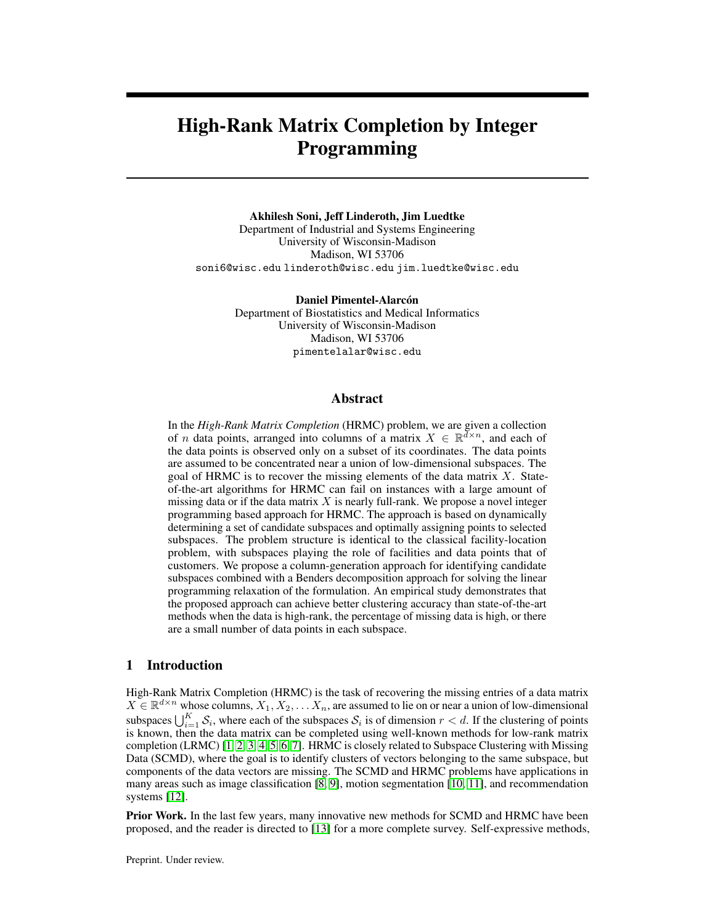entries:

$$
c_{jt} := \min_{v \ge R^r} \sum_{i:(i;j) \ge 2} (X_{ij} (U_t v)_i)^2
$$
 (1)

This is a natural cost model, but different cost models could also be incorporated into our framework. However, an advantage  $(f)$  is that it has a closed form solution in terms of a simple projection operator 24]. Speci cally, let U $_{\rm{ij}}$  denote the restriction of the subsp $\rm{at}$ eo the rows observed in columnj , and de ne the projection operat $\pmb{\mathsf{B}}_{\pmb{\mathsf{U}}_{-j}}~:=~\pmb{\mathsf{U}}_{-j}~(\pmb{\mathsf{U}}_{-j}^\mathsf{T}\pmb{\mathsf{U}}_{-j})^{-1}\pmb{\mathsf{U}}_{-j}^\mathsf{T}$  . Then the residual  $c_{it}$  can be obtained as

$$
c_{jt} = k(X_j) \t P_{U_{j}}(X_j) k_2^2.
$$
 (2)

Given T candidate subspaces, we formulate the HRMC problem as an integer program. Let f 0; 1g; 8j 2 [n]; t 2 [T] be a binary assignment variable that determines if vectors is given to subspace, and  $z_1$  2 f 0; 1g; 8t 2 [T] be a binary selection variable that indicates whether subspace is selected. The assignment of points to selected subspaces is similar to the facility location problem [\[28\]](#page-11-12), where the goal is to select which facilities to open and assign each customer to one of the open facilities. In our HRMC formulation, subspaces play the role of facilities, and vectors play the role of customers. Our complete integer programming formulation is the following:

$$
\begin{array}{ll}\n & \mathsf{X} & \mathsf{X} \\
\min \limits_{x,z} & \sum_{t_{\mathsf{Z}}[T] \text{ is } 2[n]} & \text{(3a, MLP)} \\
 & \mathsf{X}_{it} = 1; \quad 8j \quad 2 [n]\n\end{array}
$$

$$
x_{ij} = z_{t}; \t 8j 2 [n]; t 2 [T]
$$
(3c)  

$$
x_{ij} = x_{t}; \t 8j 2 [n]; t 2 [T]
$$
(3d)

$$
z_t = K; \t\t(3d)
$$

$$
z_t; x_{jt} \ 2 \ f \ 0; 1g; 8j \ 2 \ [n]; t \ 2 \ [T]: \tag{3e}
$$

The objective(3a) ensures that the model looks for the least cost assignment of vectors and subspaces. Constraint set(3b) ensures that each vector is assigned to exactly one subspace, and con Straints enforce that a vector is assigned to only a selected subspace. Constraint sures that exactly subspaces are selected.

The MILP formulation (3) assumes that we know both the subspaces dimension dithe number of subspaces (K). Knowledge of the subspace dimension is fundamental to our dynamic subspacegeneration approach which is based on matrix factorization. We discuss this more in detail in Section 3.2.

Casting HRMC as a facility-location type problem offers several advantages. First, the formulation can easily be extended to incorporate prior information about the data, such as vectors that should or should not belong to the same subspace, or bounds on the number of vectors assigned to a subspace. Second, the model is parameter-free, and requires no signi cant tuning. Finally, there has been recent signi cant work on solving large-scale facility location problems by exploiting their problem structure, and we can leverage these advances in our own solution ap[pro](#page-11-13)ach [29].

# 3 Decomposition algorithm

The formulation(3) is solved via the well-known branch-and-bound met[hod](#page-12-0), [which relies on solving a sequence of linear programming (LP) relaxations. The LP relaxati(3) is fthe problem created by replacing the integrality conditi $a_1$ s  $_1$  2 f 0; 1g with simple bound constraints  $z_t$ ;  $x_{jt}$  2 [0; 1]. The optimal solution value of the LP relaxation provides a lower bound on the optimal solution  $t\alpha(3)$ . The optimal dual variables of the LP relaxation also provide a systematic mechanism for dynamically generating new candidate subspaces—a vital component of our solution framework. Because the number of candidate subspares the number of points may be quite large, solving the LP relaxation is a computational challenge. In Section 3.1, we discuss a problem-speci c implementation of the Benders decomposition method for the solution of the LP relaxation to (3). Section 3.2 describes how to dynamically generate improving candidate subspaces.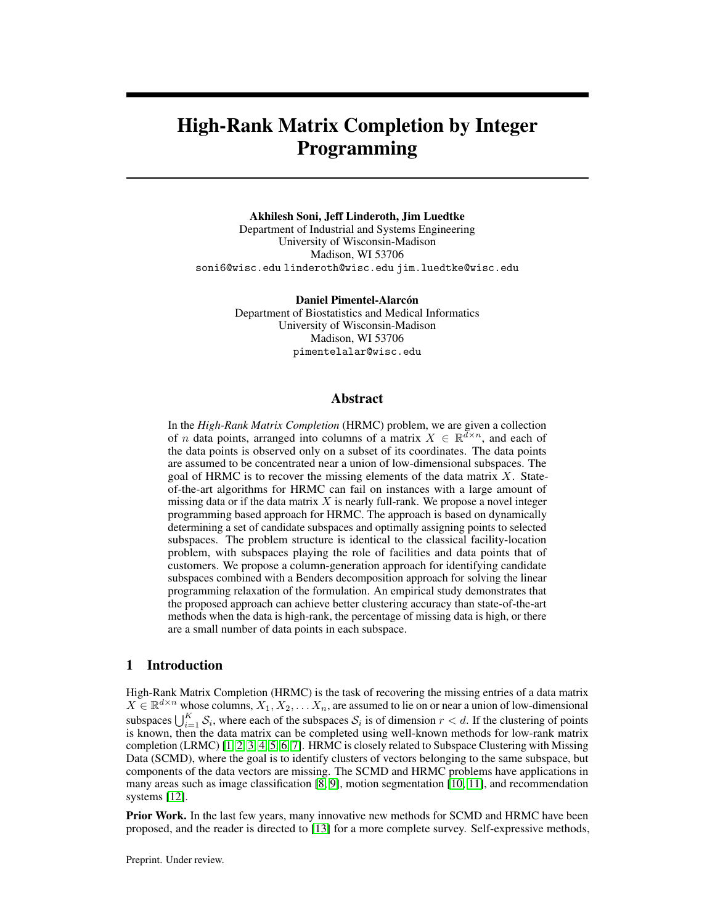#### 3.1 Row generation

Benders decomposition is a technique that enables solution of extremely large LP problems that have special structure [31]. It has been applied to large-scale facility locations by Fischetti  $\triangle 20$ ], and our HRMC formulation has the same structure. The rst step in the decomposition approach is a reformulation that eliminates the variables and adds a set of continuous variables epresenting the assignment cost for vectio $\vec{e}$  [n]. The resulting reformulation of the LP relaxation of (3) is

n X  
\nmin  
\n
$$
w_j : X = K; w_j
$$
 (z) 8j 2 [n];  $z_t$  2 [0; 1] 8t 2 [T] : (4)  
\n $z_{t+1}$ 

The function  $\bar{p}(z)$  gives the minimum assignment cost for the vector  $p$  [n] to a collection of subspaces parameterized by the variabl $\otimes$  [0; 1]<sup>T</sup>. Note that the components ofmay take fractional value. Speci cally, <sub>j</sub> (z); j 2 [n] is calculated by the followin**g**ubproblem

$$
j(\hat{z}) = \min_{x} \sum_{t2[T]} x_{t} x_{t} : X_{t1} = 1; 0 \quad x_{t2} \hat{z}_{t3} \text{ at } 2[T] : (5)
$$

The function  $\mathcal{L}(z)$  is piecewise-linear and convex, and Benders decomposition works by dynamically building a lower-bounding approximation to  $(z)$ . The optimization probler(6) used to evaluate () has a closed-form solution. Moreover, its evaluation also gives suf cient information from which to create a lower-bounding approximation. Le $\dagger ;\frac{1}{D}$  ;  $\frac{1}{T}$ g be a permutation df1; : : : ; T<code>g</code> satisfyingc<sub>j</sub>  $\begin{array}{cc} c_j & c_j \\ \frac{1}{2} & c_j \end{array}$   $\begin{array}{cc} c_j & \frac{1}{2} \\ c_j & \frac{1}{2} \end{array}$ , and lett<sub>j</sub> := min f t :  $\begin{array}{cc} \frac{t}{s-1} & \frac{1}{s} \\ \frac{1}{s-1} & \frac{1}{s} \end{array}$  and lett<sub>j</sub> := min f t :  $\begin{array}{cc} \frac{t}{s-1} & \frac{1}{s} \\ \frac{1}{s-1} & \frac$ described in [29], the Benders cuthat can be used to lower-approximate the function) is

$$
w_{j} + \sum_{i=1}^{t} (c_{j} \big|_{t_{j}}^{i} - c_{j} \big|_{i}^{i}) z_{i} - c_{j} \big|_{t_{j}}^{i}.
$$
 (6)

These inequalities are accumulated iteratively.  $\mu$  edenote the number of Benders cuts included in the model at the current stage in the algorithm for eja0t[n]. Let t<sub>ji</sub> denote the critical index for vectorj 2 [n] associated with Benders du $\pmb{\mathbb{Z}}$  [p<sub>j</sub> ], and letc<sub>ji</sub> := c<sub>j i,</sub> denote the critical cost for

thej <sup>th</sup> vector in cuti 2 [p<sub>j</sub>]. The Bendersnaster problemis then

$$
\min_{\substack{w_{i}z\\j\chi^{[n]}}}\,w_{j}\tag{7}
$$

$$
z_t = K; \t\t(2[T]
$$

$$
w_{j} + \sum_{i=1}^{t} (q_{j} - q_{j})z_{j} - q_{j}; 8j \ 2 [n]; i \ 2 [p_{j}]; \qquad (j) 0 z_{t} - 1; \qquad 8t \ 2 [T]: \qquad (t)
$$

Here; , and are dual variables corresponding to the respective constraints, and will play an important role in the column generation process described in Section 3.2. Solyigiges a solution  $(\hat{\mathbf{w}}, \hat{\mathbf{z}})$ . The subproblem(5) is then solved to evaluate  $(\hat{\mathbf{z}})$  for eachj 2 [n] and to generate new Benders cut $(6)$ . If  $j \ (\hat{z}) = \mathcal{N}_j$ , then the generated inequality does not improve the approximation to  $_1($ ), and the cut is not added ( $\delta$ ). The Benders procedure stops when no new cuts are added. At this point, the LP relaxation of (3) is solved.

#### 3.2 Column generation

In our discussion to this point, we have assumed that we are diverniblate subspaces. However, in reality, there are in nitely-many subspaces to consider. Lete the set of all subspaces. Key to our approach is aolumn generationmethod for dynamically identifying new subspaces that have the potential to improve the solution (3). Column generation is a classical method for BP [ that also has seen signi cant use in solving MILP problems [33].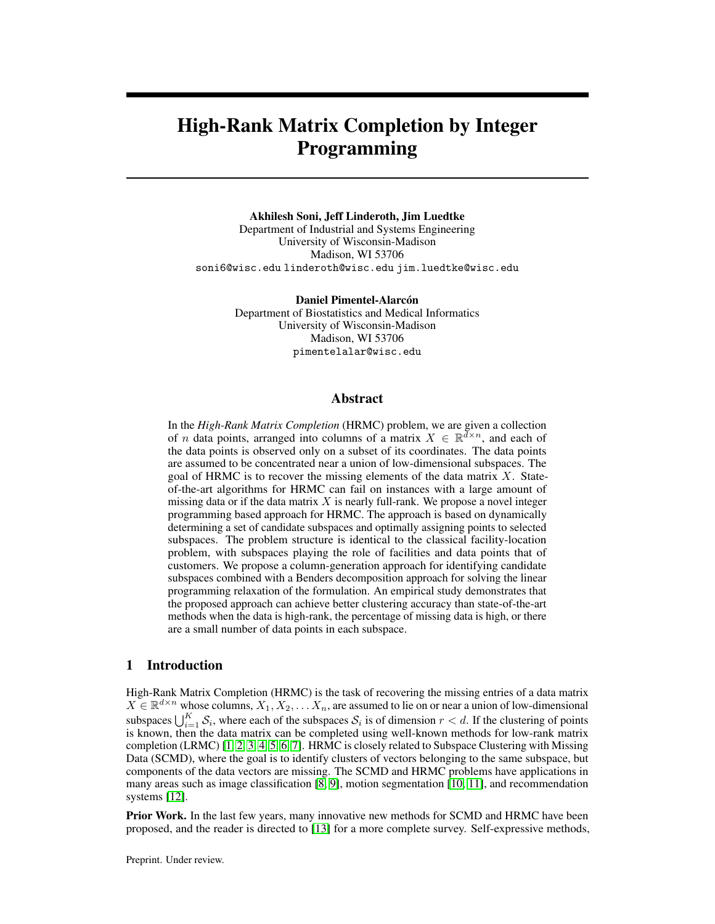The key idea behind column generation is to create an auxiliary problem, called dine problem whose solution identi es if there is an additional variable (a candidate subspace), that, when added to the LP(7), could improve its solution value. The formulation of the pricing problem follows naturally from LP duality theory. If the duced cosof a column (subspace variable) is negative, then, by increasing the value of that variable from its nominal value of zero, the objective value of the LP could reduce. Thus, we should seek columns (subspaces) with negative reduced cost. If all columns have non-negative reduced cost, the current solution of the LP with the Eudisendidate subspaces is optimal to the true problem containing all subspaces

Given the optimal dual variables  $($  ) to the solution of  $(7)$ , the reduced cost of a column/subspace variablez $_{\rm t}$  is given by the formula

$$
\begin{array}{cc}\nX & X \\
\downarrow i & \text{maxf } c_{ji} \\
j2[n] \, i2[p_i]\n\end{array} \qquad\n\begin{array}{cc}\nC_{j1} \cdot 0g; \\
\downarrow i & \text{maxf } c_{ji}\n\end{array}\n\tag{8}
$$

where $c_{it}$  is the assignment cost of column vector onto subspace Recall(1), that describes the assignment cost as a function of the basis matrix

$$
c_{jt} := h_j(U_t) := \min_{\substack{v \ge R^r \\ i : (i;j) \ 2}} \left( X_{ij} - (U_t v)_i \right)^2.
$$
 (9)

Thus, to obtain a column of minimum reduced cost, we can solve the following pricing problem to identify the subspace basis matrix:

$$
\max_{U \subseteq R^{d-r}} g(U) = \frac{X \times X}{j \, j \, \max_{j} c_{j} \, j \, \max_{i} c_{j} \, h_{j}(U); 0g!} \tag{10}
$$

The problem(10) is not a convex optimization problem, and hence is dif cult to solve to provable global optimality. We nd locally maximal solutions to (10) with a gradient-based approach.

Gradient-based approach for pricing problem. If  $h_j(U)$   $6\,c_{j}$  8j 2 [n]; i 2 [p<sub>j</sub>], then the functiong(U) is differentiable. For notational convenience, we use the indicator parameten if  $c_{ii} > h_j(0)$  and 0 otherwise. The partial derivative of g(*i*) with respect to matrix element U<sub>ab</sub> evaluated a $\theta$  is given by

$$
\frac{\textcircled{a}\,\text{g0}}{\textcircled{a}\,\text{Lb}} = \frac{X \quad X}{\underset{j \,2 \,[n\,] \,i \,2 \,[p_j\,]}\n\text{2y}_{j\,i} \quad j\,i} \quad \frac{X}{\underset{j \,2 \,\text{J}}{X}} \quad (X \cdot j \quad \text{o}^{\geq} \,\text{v}_j \,)\n\text{v}_{jb} \quad \text{8a 2 [d]; b2 [r]:} \tag{11}
$$

Here $\alpha_^\circ$  represents<sup>th</sup> row of basis $\!cal O}$ , and $\mathsf{v}_j$  is the minimizer in(9) for U $_\mathrm{t}$  =  $\,cal O$ . If h<sub>j</sub> ( $\dot{\mathsf{O}}$ ) =  $\,$  c<sub>ji</sub> for somej 2 [n]; i 2 [p<sub>j</sub>], we can still apply the formul*ț*il 1) to obtain an element of the generalized subdifferential forg( ) at  $0$  [34].

We outline our gradient-based approach in Algorithm 1. In each iteration, we calculates 4-6), the gradient (line 8), and move in the positive gradient direction (line 10). We use the Polyak step size [35], and this requires ap estimpte of the optimal value of objective function. We approximate the optimal value $\bm{{\mathfrak{g}}}$  , as $\bm{{\mathfrak{g}}}=\frac{1}{2[n]}\frac{1}{[n]}\frac{1}{[n]}\frac{1}{[n]}$  is  $\bm{\mathfrak{h}}$  (line 9). Empirical experiments show that this choice of step size works well. In our implementation, we terminate the algorithm (line 2) after a maximum of 2000 iterations,  $\text{Kr}$  g( $\text{O}$ )k<sub>2</sub> < 0:0001, or if g( $\text{O}$ ) has not improved by at least 01 in the last 100 iterations. Of all the columns generated, only those with negative reduced cost as calculated in (8) are added to the master problem (7).

#### 3.3 Uni-ed Framework

We now have all the tools to develop a uni ed MILP framework for HRMC problem that integrates the use of Benders decomposition and column generation. We also point out that we generate new columns  $\mathbf{\hat{z}}_t$  variables) only at the initial LP relaxation (the so-called root node), and not at additional nodes in the branch-and-bound tree. We describe the overall MILP framework in Algorithm 2. We initialize the algorithm withm randomly generated subspaces (line 1) to initialize model We then solve the master LP relaxation) in line 7, and generate Benders cuts for each  $[n]$  (lines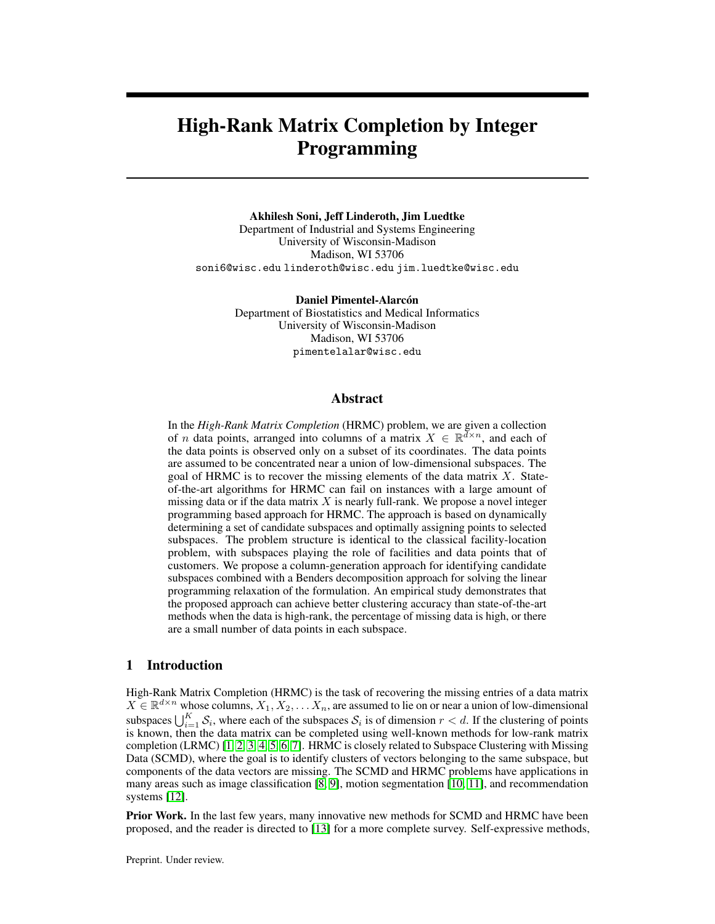Algorithm 1: Gradient-based approach for locally solving pricing problem

Data: X  $\,$ , subspaces dimension) $\,$  critical cost $\mathbf{x}_{\mathsf{j} \mathsf{i}}\,$  and dual solution  $\,{}_{\mathsf{j} \mathsf{i}}$  ; 8j 2 [n]; i 2 [p $\,{}_{\mathsf{j}}\,$ ] Input:  $\mathsf{U}^0$  $/*$  initial subspace  $*/$ Output: Subspaces generated from each iteration 1 **Û**  $^{\circ}$  ; 2 while not converged  $3 \mid$  for  $j = 1; 2; ...; n$  do 4 | | for i = 1; 2; :::;  $p_i$  do  $\mathsf{S} \left| \begin{array}{c} \begin{array}{c} \end{array} \end{array} \right| \left| \begin{array}{c} \mathfrak{H}_{\mathsf{ji}} \end{array} \right| \quad \mathsf{S}_{\mathsf{ji}} \quad \mathsf{1} \text{ if } \mathsf{c}_{\mathsf{ji}}^{\mathsf{r}} > \mathsf{k}(X_{\mathsf{j}}) \quad \mathsf{P}_{\mathsf{0}}_{\mathsf{j}} \left( X_{\mathsf{j}} \right) \; \mathsf{k}_{\mathsf{2}}^{\mathsf{2}}, \mathsf{0} \text{ otherwise ; } \end{array} \right.$  $6$  | end  $7 \mid end$  $\frac{1}{8}$  Calculater g(0) using (11) ;  $9 \mid 9$  P j 2 [n ] P i 2 [p<sub>j</sub>] ji  $\hat{y}_j$ i C<sub>ji</sub>, ^  $\frac{\hat{g} g(\hat{U})}{k r g(\hat{U})k}$  $\frac{g}{kr}$   $\frac{g(0)}{k^2}$ ;  $\frac{g(0)k^2}{k^2}$  /\* Polyak step size \*/  $10$   $0 + \wedge r$  g(U $)$  ;  $\qquad \qquad$  /\* move in positive gradient direction \*/ 11 end

8-11). We repeat this until no violated cuts are found (line 10). We then proceed to generate new columns by solving the pricing problem (1). Because we use a gradient-based approach to solve the nonconvex problem 10), we initialize Algorithm 1 with different random choices  $\mathsf{d} \mathsf{f}^0$  (lines 14-18) to identify different locally-optimal solutions. Ead $\mathbb{H}^0$  is obtained by selecting a random subset of 2r vectors from the 3Kr vectors that have the large of values in the current LP solution of the master problen(7). Then, we use a fast low-rank matrix completion algoritts that the basis U<sup>0</sup> for a best- t subspace for these vectors. We repeat this until we have tried a Kleat ferent U<sup>0</sup> and have found at least one negative reduced cost column, or reach the maximum allowed iterations. If negative reduced cost columns are found, we add them to the master LP, delete existing Benders cuts since they become invalid due to naw ariables (lines 21-22), and return to the process of generating Benders cuts. We repeat this process as long as we are able to generate new columns.

Once we fail to nd a negative reduced cost column, we exit the root node loop and pass the updated MILP model with the new columns and cuts included to a MILP solver (we use Gu86)). We also provide a callback routine to the solver to generate Benders cuts as necessary when an integer solution is found during the branch-and-bound tree search. We use the solution from the MILP solver to determine the selected subspaces and assignments of vectors to them (line 27).

# 4 Computational study

# 4.1 Synthetic experiments

Experimental Setup. We construcK random subspaces with bas \$2 R<sup>d</sup> <sup>r</sup>; 8k 2 [K]. Each entry of  $U_k$  is sampled from a standard Gaussian. We then generatiferent data vectors. Each data vectoj 2 [n] is sampled from one of the subspaces, i.e $X_{j} = U_{k} v_{j}$  for a randomk 2 [K] andv<sub>j</sub> 2 R<sup>r</sup> is sampled from a standard Gaussian. We then drop a certain fr**áctibth**e entries of the data matrix yielding the set of observed entries We benchmark our MILP approach against zero lled sparse subspace clustering algorithm (ZF-SSG), Alt-PZF-EnSC+gLRMC [13], and k-GROUSE 24. The k-GROUSE algorithm is initialized with the output clusters from ZF-SSC and Alt-PZF-EnSC+gLRMC is initialized with output clusters from ZF-En\$6. [All methods are tuned for best performance with different parameters con-gurations that are reported in Appendix A.1. We compare the performance of MILP framework with these three algorithms to study the effect of missing data, ratio of ambient dimension to total dimension, and number of points per subspace.

We used Gurobi 8.1 as the MILP solver. Additionally, we set a time limit of 18000s (5 hours) for each MILP run. These experiments were performed on a 4 core 16 GB machine.

Effect of missing data fraction. We rst study the effect of missing data on misclassi cation error. We  $x d = 30; n = 200; K = 6; r = 3;$  and varyf between 10-70%. Figure 1a shows the misclassi cation error as a function of the missing data fraction for each algorithm. We observe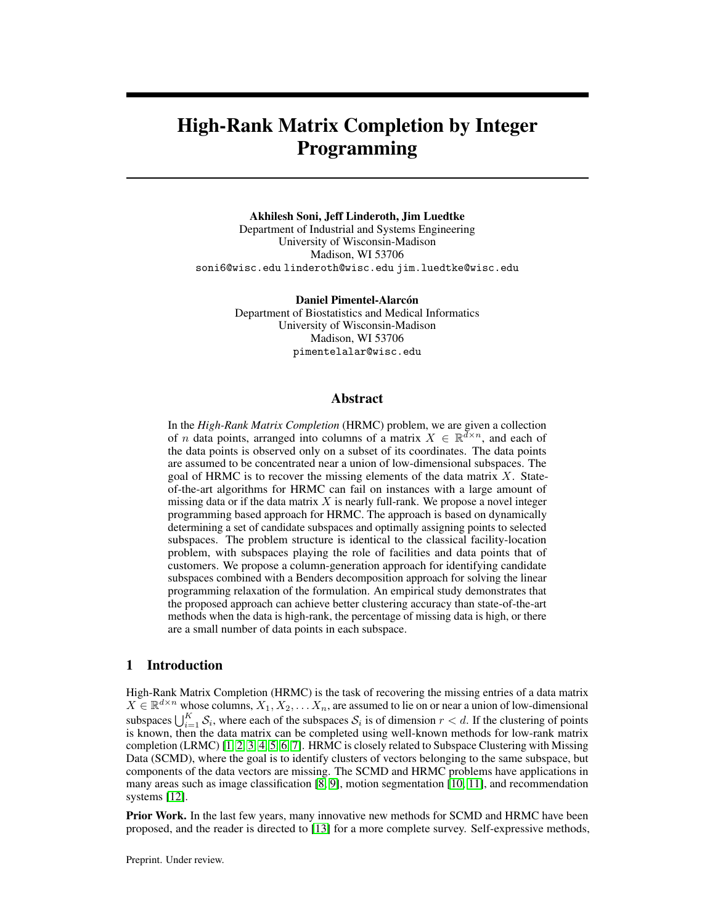Algorithm 2: Uni ed MILP framework for SCMD  $Input: X$ , subspaces dimension number of subspaces Output: Segmentation of columns  $\delta f$  in K clusters:  $S_k$  and basis  $J_k$ ; 8k 2 [K] 1 Generatem = 500 K random subspaces to initialize MILP model (4); 2 root node continue T rue, generate cuts T rue; 3 while root node continue 4 root node continue False ; /\* switched back on if new columns found \*/ // generate Benders cuts 5 while generate cuts  $6 \mid$  generate cuts False;  $7 \mid$  solve master LP relaxation (7) to obta $\hat{a}$ n  $8 \mid \}$  for j = 1; 2; :::; n do  $9 \mid \cdot$  Generate and add Benders cuts of the form (6) to master (7);  $10$  | | if cuts found generate cuts T rue;  $11$  end  $12$  end // generate new columns 13  $T_{n}$  ; ; 14 | for it =  $1$ ; :: ; maxIt = 50 do  $15$   $\parallel$   $\parallel$  U<sup>0</sup> best t subspace on randomly sampled r vectors from costlies **K** r vectors; 16 Solve pricing problem using Algorithm 1 and add columns with negative reduced cost to  $T_n$ ;<br>if iT<sub>n</sub> i  $17$  | if  $T_n$  j 1 and it K : break; 18 | end 19 | if  $T_n$   $\theta$ ;  $20$  | Calculate residual cost<sub>t</sub>; 8j 2 [n]; t 2 T<sub>n</sub> using (2);  $_{{\bf 21}}$   $\begin{bmatrix} \begin{bmatrix} \begin{bmatrix} \begin{bmatrix} \begin{bmatrix} \begin{bmatrix} \text{T} \end{bmatrix} \end{bmatrix} & \begin{bmatrix} \begin{bmatrix} \text{T}_{\text{n}} \end{bmatrix} \end{bmatrix} & \begin{bmatrix} \begin{bmatrix} \text{T}_{\text{n}} \end{bmatrix} & \begin{bmatrix} \text{T}_{\text{n}} \end{bmatrix} & \begin{bmatrix} \begin{bmatrix} \text{T}_{\text{n}} \end{bmatrix} & \begin{bmatrix} \text{T}_{\text{n}} \end{bmatrix} & \begin{bmatrix} \text{T}_{\text{n}} \end{bmatrix} & \begin{bmatrix}$ 22 Remove all Benders cuts from (7);  $\frac{1}{2}$  invalid due to new z<sub>t</sub> vars  $\frac{1}{2}$  $23$  |  $\sqrt{ }$  root node continue True:  $24$  end 25 end 26  $\hat{\mathbf{x}}$ :  $\hat{\mathbf{z}}$  Solve MILP model (4) with Gurobi, give a callback routine for Benders cuts; 27 return f S<sub>t</sub> = f j 2 [n] :  $\hat{x}_{jt} = 1$ g; U<sub>t</sub> ; 8t 2 [T]s.t.  $\hat{z}_t = 1$ g ;

that ZF-SSC exhibits signi cnatly increased misclassi cation error already for20% Alt-PZF-EnSC+gLRMC and k-GROUSE perform similarly and have increased classi cation errorfwisen larger than 50-55%. The MILP approach on the other hand successfully classi es most instances up tof around 65%. Clearly, in the high-missing data regime (40-70%), MILP yields the smallest misclassi cation error.

Effect of ambient dimension and total dimension of subspace We next study the effect of total dimension of the data  $( k \cdot r)$  relative to the ambient dimension. We evaluate all methods in both low-rank ( $d > Kr$ ) and high-rank $d$  Kr) regimes. In these experiments, we rembve 60% of the data and we  $m = 40K$ . We choosed; r; K such thatd=(Kr) 2 [1; 5]. We show the misclassi cation error for each method with respec**tlto**(Kr ) in Figure 1b. Since ZF-SSC does not perform well with high missing data (= 60%), we nd that ZF-SSC gives high misclassi cation errors in all cases. Performance of the algorithms improve as we move towards the low-rank regime. In low-rank regime  $d=$ (Kr) 2 [2:5; 5]), both MILP and k-GROUSE give perfect classi cation and Alt-PZF-EnSC+gLRMC performs well. In the high-rank regime  $Kr$  2 [1; 2:5]), we observe that only MILP gives near perfect classi cations while Alt-PZF-EnSC+gLRMC has high misclassi cation. The performance of k-GROUSE lies between MILP and Alt-PZF-EnSC+gLRMC .

Effect of number of points per subspace.We next study the effect of the number of points per subspace. In this experiment, we  $dx = 30$ ; n = 6; r = 3; f = 65%; and we vary the average number of points per subspace between 10-60. Results of this experiment are shown in Figure 1c. ZF-SSC and Alt-PZF-EnSC+gLRMC have high misclassi cation in all cases, since self-expressive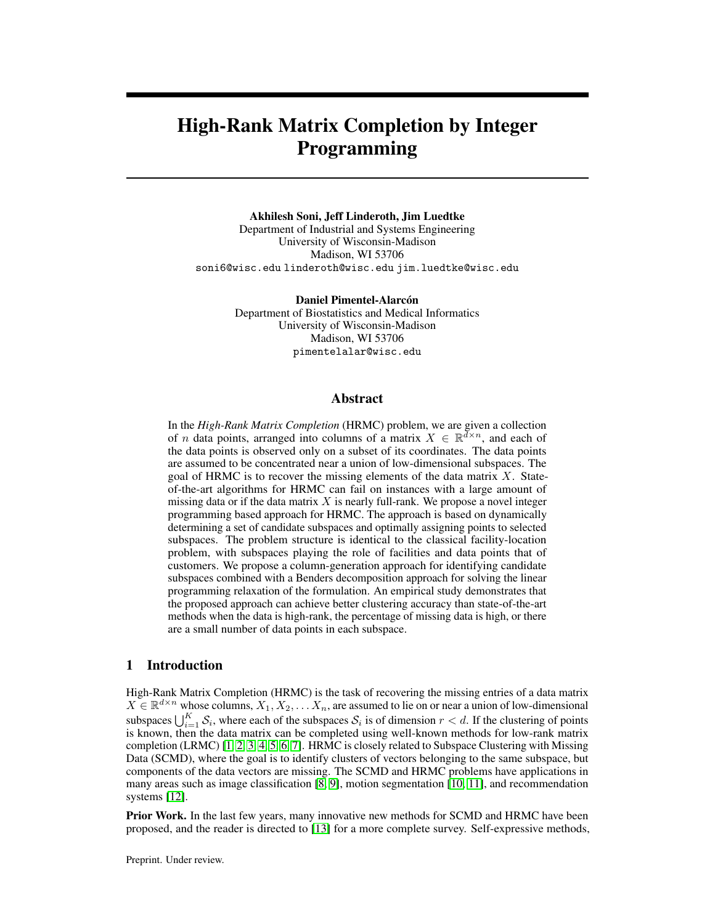(a) Effect of missing data (b) Effect ofd=Kr

#### (c) Effect of points per subspace

Figure 1: Misclassi cation error as a function of missing data<sub>K</sub>r, and # of points per subspace. Error bars plotted using minimum and maximum errors.

methods typically require more points per subspace in this high-rank regime. As the number of points increases, the accuracy of both k-GROUSE and MILP improve. MILP performs signi cantly better than the other methods when the number of points per subspace is in the range of 20-40. The variance in the misclassi cation error for the MILP is also smaller than the other algorithms as seen from the error bars in Figure 1. Residual plots for these instances are shown in Figure 3 in Appendix A.3. We also compare these methods on noisy data and found similar results (see Appendix A.4).

Computation Times. We report average computation times for some of the instances we considered in Section 4.1 in Table 2 in the Appendix. As expected, ZF-SSC and k-GROUSE are signi cantly faster than the other two methods, with computing times ranging from 2-6 minutes, whereas the computing time ranges between 45 minutes and 3.1 hours for the MILP approach and between 11 minutes and 11.4 hours for Alt-PZF-EnSC+gLRMC. For Alt-PZF-EnSC+gLRMC, the time reported includes the necessary time for hyperparameter tuning and hence is much higher than ZF-SSC since it involves solving LRMC and EnSC repeatedly for different set of parameters. We give a detailed breakdown of the computation time spent in each component of the MILP approach in Appendix A.2. A large portion of the computation in the MILP approach  $$0\%$  is spent computing the  $q_t$  coef cients and abou20% is spent calculating gradients, which are both operations that can be done in highly parallel fashion. Thus, while we did not pursue a parallel implementation, we expect signi cant speedups are possible. Overall, these results indicate that the MILP framework is feasible for moderate size data and competitive with Alt-PZF-EnSC+gLRMC, but is best suited for applications where one desires accuracy over speed, e.g., predicting gene-disease association [37].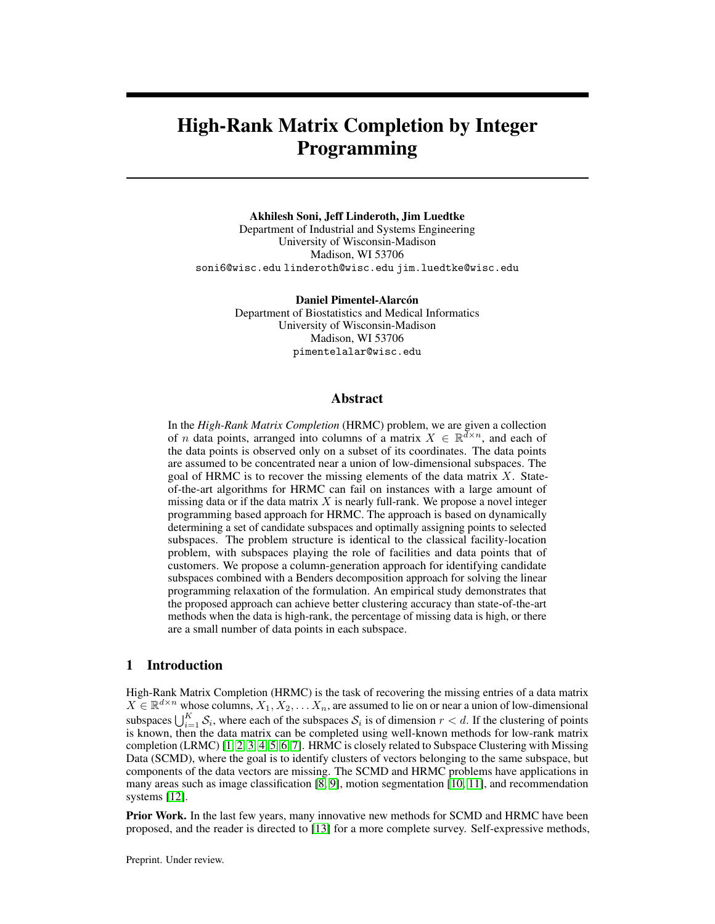(a) MILP vs ZF-SSC (b) MILP vs k-GROUSE-batch

#### (c) MILP vs Alt-PZF-EnSC+gLRMC

Figure 2: Performance comparison of MILP with other methods on Hopkins155 dataset with 60% missing data in high-rank regime

#### 4.2 Real Data: Motion Segmentation

We evaluate the performance of all methods on motion segmentation where we are given a video with multiple moving objects and points are tracked across frames. The goal is to cluster the points according to their motion subspaces. We evaluate different methods on Hopkins155, which consists of 156 different video sequences with 2 or 3 moving obj $\theta$ ts We restrict to the high-rank high-missing data regime, and hence we sample only 3 frames from each sequences since the ambient dimensiond scales linearly with number of frames, i.d.  $= 2F$ , and we discard = 60% of the entries. Frames sampled are equally spaced and uniformly spread similar to [15].

Since we do not know the dimension of the underlying subspaces, we-use for all the methods in these experiments. We compare the performance of MILP with each algorithm individually in Figure 2. We observe that MILP gives lower misclassi cation errors than other methods in a majority of the sequences. When comparing MILP and ZF-SSC (Figure 2a) we see that each method performs signi cantly better than the other on a substantial number of instances. We suspect that MILP outperforms ZF-SSC on instances where the assumption of subspaces dimension a good approximation. When comparing MILP to k-GROUSE (Figure 2b) and Alt-PZF-EnSC+gLRMC (Figure 2c) we see that they provide similar performance on many instances, but that the number of instances where MILP is signi cantly better is much higher than the reverse. Therefore, MILP is a potentially better method in the high-rank and high-missing data regime. We also tested a case in which only 20% of the data entries were missing. We found Alt-PZF-EnSC+gLRMC to be clearly the best performing algorithm for this case, which is not surprising because this method does not require speci cation of the rank of the underlying matrix and performs well with low levels of missing data. We do not show these results in the interest of space.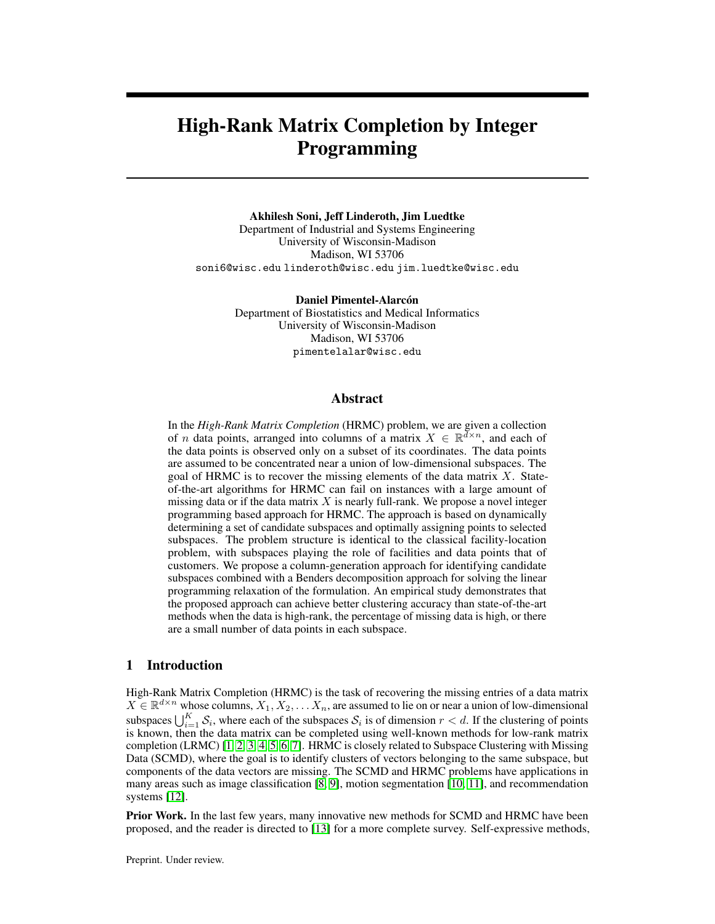# 5 Conclusion

We proposed a novel MILP framework for the High-Rank Matrix Completion problem and showed its effectiveness relative to other state-of-the-art methods, especially in certain instance regimes. Our MILP framework offers several other potential advantages for HRMC. It gives the user exibility to use a different function for cost of assignment between vector and subspace. If we know a good set of potential low dimensional subspaces, our framework can take advantage of this by including these subspaces in the initial formulation. Our framework can also easily be extended to include constraints. This could be useful, for example, for fair clustering which is de ned tatricted dominance which limits the fraction of people from a group to be in a cluster, and ority protection which requires a minimum fraction of people from a group in each cluster [38].

Our MILP approach is computationally more expensive than the other clustering algorithms. Another limitation is that given that our approach is based on matrix factorization, we require information about the dimension of the subspaces. Thus, a direction for future work is to investigate techniques for dynamically determining the dimensions of the subspaces used in the formulation. One simple idea in this direction is a sequential framework where one starts with dimension one subspaces and consecutively moves towards high dimensions while removing points which can be explained with low dimensional subspaces.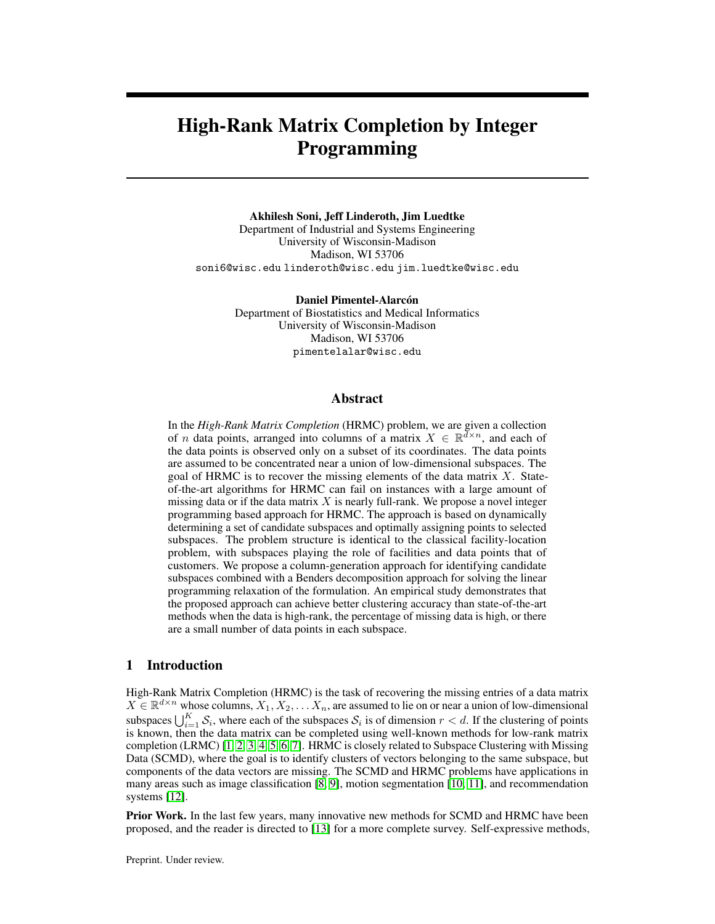# References

- [1] Emmanuel J. Candès and Benjamin Recht. Exact matrix completion via convex optimization. Foundations of Computational Mathematics (6):717–772, 2009. doi: 10.1007/ s10208-009-9045-5.
- [2] Daniel L. Pimentel-Alarcón, Nigel Boston, and Robert D. Nowak. A characterization of deterministic sampling patterns for low-rank matrix completion2015 53rd Annual Allerton Conference on Communication, Control, and Computing (Allerton) est 1075–1082, 2015. doi: 10.1109/ALLERTON.2015.7447128.
- [3] Emmanuel J. Candes and Terence Tao. The power of convex relaxation: Near-optimal matrix completion.IEEE Transactions on Information Theor<sub>96</sub>(5):2053–2080, 2010, doi: 10.1109/ TIT.2010.2044061.
- [4] Jian-Feng Cai, Emmanuel Candès, and Zuowei Shen. A singular value thresholding algorithm for matrix completion.SIAM Journal on Optimization  $20:1956-1982$ , 03 2010. doi: 10.1137/ 080738970.
- [5] L. Balzano, R. Nowak, and B. Recht. Online identi cation and tracking of subspaces from highly incomplete information. In 2010 48th Annual Allerton Conference on Communication, Control, and Computing (Allerton)pages 704–711, 2010. doi: 10.1109/ALLERTON.2010.5706976.
- [6] Benjamin Recht. A simpler approach to matrix completidnMach. Learn. Res.12(null): 3413–3430, December 2011. ISSN 1532-4435.
- [7] Luong Trung Nguyen, Junhan Kim, and Byonghyo Shim. Low-rank matrix completion: A contemporary survey.IEEE Access7:94215-94237, 2019. doi: 10.1109/ACCESS.2019. 2928130.
- [8] Y. Lecun, L. Bottou, Y. Bengio, and P. Haffner. Gradient-based learning applied to document recognition.Proceedings of the IEEB6(11):2278-2324, 1998. doi: 10.1109/5.726791.
- [9] E. L. Zapata, J. Gonzalez-Mora, F. De la Torre, N. Guil, and R. Murthi. Bilinear active appearance models. 2007 11th IEEE International Conference on Computer Vision pages 1–8. Los Alamitos, CA, USA, oct 2007. IEEE Computer Society. doi: 10.1109/ICCV.2007.4409185. URL https://doi.ieeecomputersociety.org/10.1109/ICCV.2007.4409185 .
- [10] Roberto Tron and Rene Vidal. A benchmark for the comparison of 3-d motion segmentation algorithms. In2007 IEEE Conference on Computer Vision and Pattern Recognitiances 1–8, 2007. doi: 10.1109/CVPR.2007.382974.
- [11] Shankar Rao, Roberto Tron, René Vidal, and Lei Yu. Motion segmentation in the presence of outlying, incomplete, or corrupted trajectorid EEE transactions on pattern analysis and machine intelligence 32:1832-45, 10 2010. doi: 10.1109/TPAMI.2009.191.
- [12] Andy Ramlatchan, Mengyun Yang, Quan Liu, Min Li, Jianxin Wang, and Yaohang Li. A survey of matrix completion methods for recommendation systeming. Data Mining and Analytics1: 308–323, 12 2018. doi: 10.26599/BDMA.2018.9020008.
- [13] Connor Lane, Ron Boger, Chong You, Manolis Tsakiris, Benjamin Haeffele, and Rene Vidal. Classifying and comparing approaches to subspace clustering with missing datacetedings of the IEEE/CVF International Conference on Computer Vision (ICCV) Worksloopt 2019.
- [14] E. Elhamifar and R. Vidal. Sparse subspace clustering: Algorithm, theory, and applications. IEEE Transactions on Pattern Analysis and Machine Intelligen66411):2765–2781, 2013. doi: 10.1109/TPAMI.2013.57.
- [15] Congyuan Yang, Daniel Robinson, and Rene Vidal. Sparse subspace clustering with missing entries. In Francis Bach and David Blei, editors proceedings of the 32nd International Conference on Machine Learning plume 37 of Proceedings of Machine Learning Research pages 2463–2472, Lille, France, 07–09 Jul 2015. PMLR. URL //proceedings.mlr. press/v37/yangf15.html .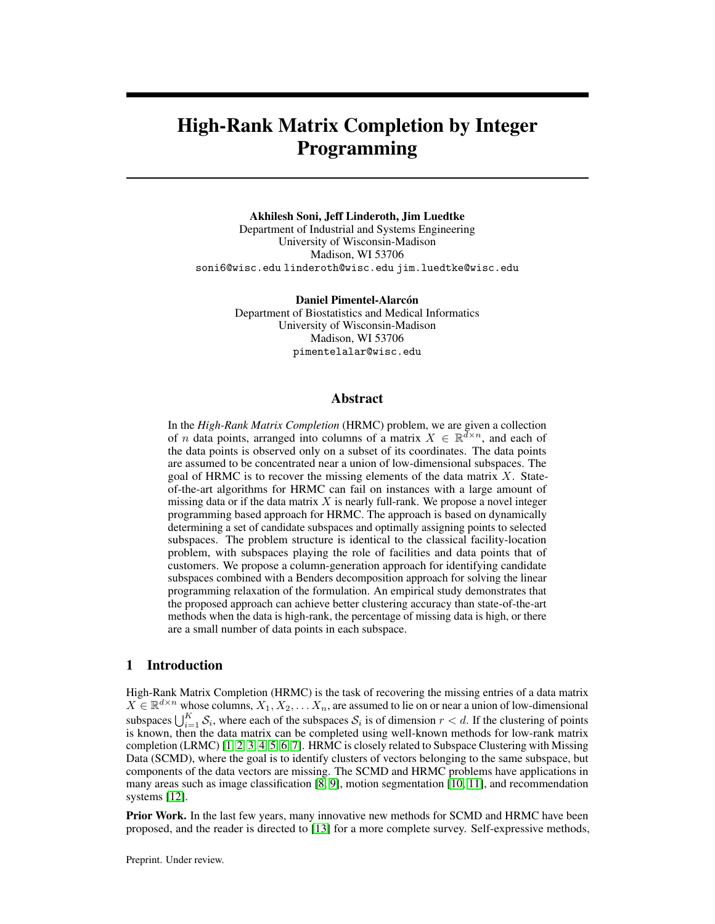- <span id="page-11-0"></span>[16] C. Li and R. Vidal. A structured sparse plus structured low-rank framework for subspace clustering and completion. *IEEE Transactions on Signal Processing*, 64(24):6557–6570, 2016. doi: 10.1109/TSP.2016.2613070.
- <span id="page-11-1"></span>[17] Manolis Tsakiris and Rene Vidal. Theoretical analysis of sparse subspace clustering with missing entries. In Jennifer Dy and Andreas Krause, editors, *Proceedings of the 35th International Conference on Machine Learning*, volume 80 of *Proceedings of Machine Learning Research*, pages 4975–4984, Stockholmsmässan, Stockholm Sweden, 10–15 Jul 2018. PMLR. URL http://proceedings.mlr.press/v80/tsakiris18a.html.
- <span id="page-11-2"></span>[18] Z. Charles, A. Jalali, and R. Willett. Sparse subspace clustering with missing and corrupted data. In *2018 IEEE Data Science Workshop (DSW)*, pages 180–184, 2018. doi: 10.1109/DSW. 2018.8439907.
- <span id="page-11-3"></span>[19] Ehsan Elhamifar. High-rank matrix completion and clustering under self-expressive models. In D. Lee, M. Sugiyama, U. Luxburg, I. Guyon, and R. Garnett, editors, *Advances in Neural Information Processing Systems*, volume 29. Curran Associates, Inc., 2016. URL https://proceedings.neurips.cc/paper/2016/file/ 9f61408e3afb633e50cdf1b20de6f466-Paper.pdf.
- <span id="page-11-4"></span>[20] Jicong Fan and Tommy W.S. Chow. Matrix completion by least-square, low-rank, and sparse self-representations. *Pattern Recognition*, 71:290–305, 2017. ISSN 0031-3203. doi: https:// doi.org/10.1016/j.patcog.2017.05.013. URL [https://www.sciencedirect.com/science/](https://www.sciencedirect.com/science/article/pii/S0031320317302030) [article/pii/S0031320317302030](https://www.sciencedirect.com/science/article/pii/S0031320317302030).
- <span id="page-11-5"></span>[21] Brian Eriksson, Laura Balzano, and Robert Nowak. High-rank matrix completion. In Neil D. Lawrence and Mark Girolami, editors, *Proceedings of the Fifteenth International Conference on Artificial Intelligence and Statistics*, volume 22 of *Proceedings of Machine Learning Research*, pages 373–381, La Palma, Canary Islands, 21–23 Apr 2012. PMLR. URL <http://proceedings.mlr.press/v22/eriksson12.html>.
- <span id="page-11-6"></span>[22] Jicong Fan and Madeleine Udell. Online high rank matrix completion. *2019 IEEE/CVF Conference on Computer Vision and Pattern Recognition (CVPR)*, 2019. doi: 10.1109/cvpr. 2019.00889.
- <span id="page-11-7"></span>[23] D. Pimentel-Alarcón, G. Ongie, L. Balzano, R. Willett, and R. Nowak. Low algebraic dimension matrix completion. In *2017 55th Annual Allerton Conference on Communication, Control, and Computing (Allerton)*, pages 790–797, 2017. doi: 10.1109/ALLERTON.2017.8262820.
- <span id="page-11-8"></span>[24] L. Balzano, A. Szlam, B. Recht, and R. Nowak. K-subspaces with missing data. In *2012 IEEE Statistical Signal Processing Workshop (SSP)*, pages 612–615, 2012. doi: 10.1109/SSP.2012. 6319774.
- <span id="page-11-9"></span>[25] D. Pimentel-Alarcón, L. Balzano, R. Marcia, R. Nowak, and R. Willett. Group-sparse subspace clustering with missing data. In *2016 IEEE Statistical Signal Processing Workshop (SSP)*, pages 1–5, 2016. doi: 10.1109/SSP.2016.7551734.
- <span id="page-11-10"></span>[26] Chong You, Chun-Guang Li, Daniel P. Robinson, and René Vidal. Oracle based active set algorithm for scalable elastic net subspace clustering. In *2016 IEEE Conference on Computer Vision and Pattern Recognition (CVPR)*, pages 3928–3937, 2016. doi: 10.1109/CVPR.2016.426.
- <span id="page-11-11"></span>[27] H. Hu, J. Feng, and J. Zhou. Exploiting unsupervised and supervised constraints for subspace clustering. *IEEE Transactions on Pattern Analysis and Machine Intelligence*, 37(8):1542–1557, 2015. doi: 10.1109/TPAMI.2014.2377740.
- <span id="page-11-12"></span>[28] Vedat Verter. *Uncapacitated and Capacitated Facility Location Problems*, pages 25–37. Springer US, New York, NY, 2011. ISBN 978-1-4419-7572-0. doi: 10.1007/978-1-4419-7572-0\_2. URL [https://doi.org/10.1007/978-1-4419-7572-0\\_2](https://doi.org/10.1007/978-1-4419-7572-0_2).
- <span id="page-11-13"></span>[29] Matteo Fischetti, Ivana Ljubic, and Markus Sinnl. Redesigning benders decomposition for ´ large-scale facility location. *Management Science*, 63(7):2146–2162, 2017. doi: 10.1287/mnsc. 2016.2461.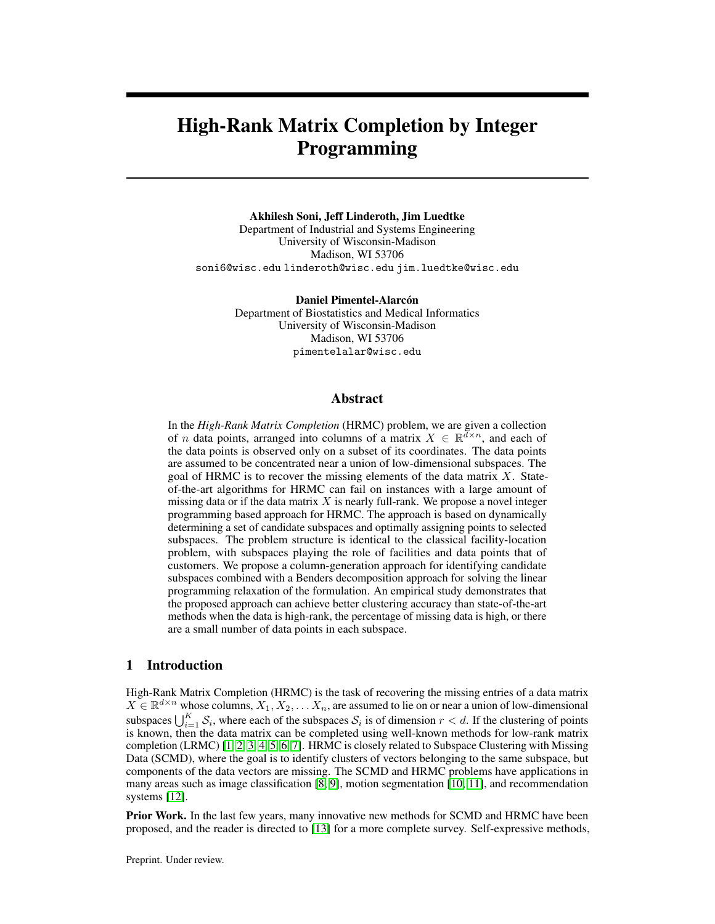- <span id="page-12-0"></span>[30] AH Land and AG Doig. An automatic method of solving discrete programming problems. *Econometrica*, 28(3):497–520, 1960.
- [31] J. F. Benders. Partitioning procedures for solving mixed-variables programming problems. *Numerische mathematik*, 4(1):238–252, 1962.
- [32] L. R. Ford and D. R. Fulkerson. A suggested computation for maximal multi-commodity network flows. *Management Science*, 5(1):97–101, 1958. doi: 10.1287/mnsc.5.1.97. URL <https://doi.org/10.1287/mnsc.5.1.97>.
- [33] C. Barnhart, E. L. Johnson, G. L. Nemhauser, M. W. P. Savelsbergh, and P. H. Vance. Branch and price: Column generation for solving huge integer programs. *Operations Research*, 46: 316–329, 1998.
- [34] Frank H. Clarke. *Optimization and Nonsmooth Analysis*. John Wiley & Sons, 1983.
- [35] Boris Polyak. *Introduction to optimization*. Optimization Software, Inc, 1987.
- [36] Gurobi Optimization. Algorithms in gurobi, 2016. URL [https://www.gurobi.com/pdfs/](https://www.gurobi.com/pdfs/user-events/2016-frankfurt/Die-Algorithmen.pdf) [user-events/2016-frankfurt/Die-Algorithmen.pdf](https://www.gurobi.com/pdfs/user-events/2016-frankfurt/Die-Algorithmen.pdf).
- [37] Nagarajan Natarajan and Inderjit Dhillon. Inductive matrix completion for predicting genedisease associations. *Bioinformatics (Oxford, England)*, 30:i60–i68, 06 2014. doi: 10.1093/ bioinformatics/btu269.
- [38] Suman Bera, Deeparnab Chakrabarty, Nicolas Flores, and Maryam Negahbani. Fair algorithms for clustering. In H. Wallach, H. Larochelle, A. Beygelzimer, F. dAlché-Buc, E. Fox, and R. Garnett, editors, *Advances in Neural Information Processing Systems*, volume 32. Curran Associates, Inc., 2019. URL [https://proceedings.neurips.cc/paper/2019/file/](https://proceedings.neurips.cc/paper/2019/file/fc192b0c0d270dbf41870a63a8c76c2f-Paper.pdf) [fc192b0c0d270dbf41870a63a8c76c2f-Paper.pdf](https://proceedings.neurips.cc/paper/2019/file/fc192b0c0d270dbf41870a63a8c76c2f-Paper.pdf).

## A Appendix

#### A.1 Parameters choice for state-of-the-art methods

<span id="page-12-1"></span>We tuned the methods against which we compare our MILP approach for different parameter configurations. We report these configurations in Table [1.](#page-12-1) The range for each parameter is based on the recommendations from the original papers [15, 13, [24\]](#page-11-8). The best parameter configuration is selected based on the least misclassification error.

| rable 1. I arameters enoice for evaluated argometring        |                                                                                                                                                                         |  |  |  |  |
|--------------------------------------------------------------|-------------------------------------------------------------------------------------------------------------------------------------------------------------------------|--|--|--|--|
| <b>Algorithm</b>                                             | <b>Parameters</b>                                                                                                                                                       |  |  |  |  |
| $ZF-SSC$ [15]<br>Alt-PZF-EnSC+gLRMC [13]<br>$k$ -GROUSE [24] | $\lambda \in \{10^{-3}, 10^{-2}, 0.1, 1, 10, 10^{2}, 10^{3}\}\$<br>$\lambda \in \{5, 50, 300\}, \gamma \in \{0.5, 0.7, 0.9\}$<br>$\eta_0 = 0.1$ , diminishing step size |  |  |  |  |

Table 1: Parameters choice for evaluated algorithms

#### A.2 Computation time

We report the total computation time of each method on a representative set of instances in Table [2.](#page-13-0)

We report detailed computational times of the MILP approach in Table [3.](#page-13-1) For the same instances reported in Table [2,](#page-13-0) we report the number of new columns generated from solving the pricing problem (# New cols), the number of Benders cuts at the Root node and in the B&B (Callback), the number of nodes explored in B&B tree, the MILP total solution time (Total sol. time), the time spent solving the pricing problem (Pricing), the time spent solving the Benders LP (Benders LP), the time spent in B&B tree (B&B), and the time spent in calculating residuals costs (Residuals). All numbers reported in Table [3](#page-13-1) are averaged over five different random instances.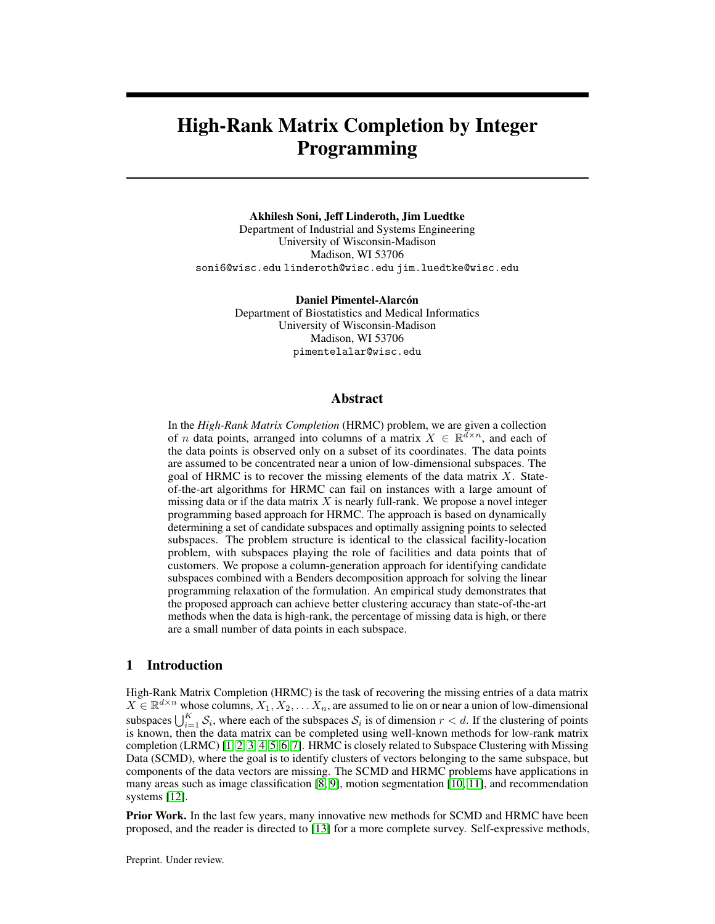| -----                     | <u>.</u> |                             |       |             |  |
|---------------------------|----------|-----------------------------|-------|-------------|--|
| ZF-SSC<br><b>Instance</b> |          | Alt-PZF-EnSC+gLRMC k-GROUSE |       | <b>MILP</b> |  |
| $I-40-200-4-3-60$         | 118.6    | 1591.2                      | 153.6 | 2680.4      |  |
| $I-30-200-6-3-20$         | 163.7    | 672.3                       | 181.9 | 3830.3      |  |
| $I-30-200-6-3-40$         | 155.6    | 791.2                       | 190.7 | 4127.3      |  |
| $I-30-300-6-3-65$         | 338.9    | 29205.9                     | 347 2 | 12299.4     |  |
| $I-30-360-9-3-60$         | 290.2    | 41123.5                     | 2912  | 111177      |  |

<span id="page-13-0"></span>Table 2: Comparison of computation time (s). Instance notation: I-30-200-6-3-40 stands for  $d =$ 30,  $n = 200$ ,  $\hat{K} = 6$ ,  $r = 3$ ,  $\hat{f} = 40\%$ 

Table 3: Detailed computational times for MILP

<span id="page-13-1"></span>

| Instance          | # New cols | # Benders cuts |                | #B&B nodes   | Time(s)         |         |            |        |           |
|-------------------|------------|----------------|----------------|--------------|-----------------|---------|------------|--------|-----------|
|                   |            | Root node      | Callback       |              | Total sol. time | Pricing | Benders LP | B&B    | Residuals |
| $I-30-120-6-3-65$ | 140241     | 11663          | 2558           | 11           | 19739.4         | 7944.2  | 126.1      | 755.5  | 6977.9    |
| $I-30-160-4-2-60$ | 37104      | 7167           | $\mathbf{0}$   | $\Omega$     | 2002.5          | 998.7   | 7.6        | 2.2    | 997.9     |
| $I-30-160-4-3-60$ | 49982      | 7071           | $\theta$       | $\Omega$     | 3043.6          | 1426.3  | 9.3        | 3.4    | 1382.0    |
| $I-30-180-6-3-65$ | 146253     | 14334          | 144            | $\Omega$     | 18751.7         | 8188.4  | 143.1      | 146.0  | 7313.3    |
| $I-30-200-5-3-60$ | 51252      | 8156           | $\mathbf{0}$   | $\Omega$     | 2841.3          | 1410.3  | 9.2        | 3.2    | 1419.1    |
| $I-30-200-6-3-10$ | 28246      | 8135           | 0              | $\mathbf{0}$ | 4177.5          | 1550.6  | 16.0       | 3.3    | 1736.3    |
| $I-30-200-6-3-20$ | 33257      | 8998           | $\overline{0}$ | $\Omega$     | 3816.7          | 1440.7  | 30.2       | 2.7    | 1625.3    |
| $I-30-200-6-3-30$ | 30042      | 10090          | $\theta$       | $\Omega$     | 3417.2          | 1286.6  | 15.6       | 2.3    | 1410.0    |
| $I-30-200-6-3-40$ | 34774      | 9163           | $\overline{0}$ | $\Omega$     | 4111.3          | 1741.6  | 16.4       | 3.9    | 1892.0    |
| $I-30-200-6-3-50$ | 37211      | 8316           | $\overline{0}$ | $\theta$     | 4125.6          | 1820.0  | 16.9       | 4.9    | 1937.3    |
| $I-30-200-6-3-55$ | 50338      | 9613           | $\overline{0}$ | $\Omega$     | 5799.6          | 2663.3  | 19.1       | 4.0    | 2727.6    |
| $I-30-200-6-3-60$ | 64502      | 10073          | $\theta$       | $\Omega$     | 7058.0          | 3486.1  | 32.6       | 7.6    | 3458.6    |
| $I-30-200-6-3-65$ | 118255     | 12552          | 120            | $\Omega$     | 14453.6         | 6834.9  | 94.9       | 164.8  | 6420.3    |
| $I-30-200-6-3-70$ | 135352     | 11627          | 2560           | 11           | 21699.9         | 9593.6  | 129.1      | 2010.8 | 8702.6    |
| $I-30-240-6-3-60$ | 57925      | 11514          | $\mathbf{0}$   | $\Omega$     | 4125.6          | 2010.9  | 16.4       | 4.1    | 2012.4    |
| $I-30-240-6-3-65$ | 87303      | 12461          | $\Omega$       | $\Omega$     | 11813.3         | 5821.1  | 61.5       | 15.9   | 5598.9    |
| $I-30-280-7-3-60$ | 71170      | 13946          | $\overline{0}$ | $\Omega$     | 4538.0          | 2169.4  | 22.5       | 7.4    | 2059.2    |
| $I-30-300-6-3-65$ | 67051      | 15379          | $\theta$       | $\Omega$     | 12272.0         | 5872.8  | 69.1       | 18.5   | 5763.1    |
| $I-30-320-8-3-60$ | 79744      | 16073          | 188            | $\Omega$     | 15189.5         | 7779.2  | 166.9      | 154.7  | 7676.5    |
| $I-30-360-6-3-65$ | 60075      | 15951          | $\overline{0}$ | $\Omega$     | 6924.0          | 3620.2  | 29.5       | 8.0    | 3603.9    |
| $I-30-360-9-3-60$ | 86972      | 19349          | $\theta$       | $\Omega$     | 11082.7         | 5647.4  | 72.8       | 15.3   | 5488.2    |
| $I-30-60-6-3-65$  | 54863      | 5026           | 432            | 8            | 4114.2          | 1490.8  | 32.2       | 88.3   | 1385.7    |
| $I-40-160-4-2-60$ | 28746      | 6071           | 28             | $\Omega$     | 4250.8          | 2077.7  | 14.6       | 3.2    | 2158.3    |
| $I-40-200-4-3-60$ | 31498      | 7561           | $\mathbf{0}$   | $\Omega$     | 2673.6          | 1217.2  | 8.0        | 2.5    | 1286.2    |

We point out that the majority of the computational time in our MILP approach is spent in calculating residuals costs and from solving the pricing problem many times. the time spent on processing the B&B tree is very small ( $\approx$  1%) of the total MILP time when no Benders cuts are generated in B&B tree with the callback. When Benders cuts are required to be generated in the B&B tree, then the time spent processing the B&B tree goes up as well. We also observe that in most cases the problem is solved without branching at all—the number of B&B nodes is 0. The time spent in solving LP relaxations while generating Benders cuts is also very small.

#### A.3 Residuals

We report the sum of squared residuals from the best fit subspace for the instances reported in Section 4.1. In Figure [3,](#page-14-0) we plot the log of the sum of squared residuals on the y axis and consider different settings on the x axis, similar to Figure 1. The residual distance is calculated for each vector  $j \in [n]$ from the best fit subspace (U) of the corresponding cluster:  $\sum_{j \in [n]} ||(X_j)_{\Omega} - P_{U_{j,j}}(X_j)_{\Omega}||_2^2$ .

We fix the values  $d = 30$ ,  $n = 200$ ,  $K = 6$ ,  $r = 3$  for the instances whose results are depicted in Figure [3a,](#page-14-0) and we observe that in low missing data regime  $(< 50\%)$ , LRMC based methods (Alt-PZF-EnSC+gLRMC and k-GROUSE) have the smallest residuals. This is as expected; LRMCbased methods are known to perform quite well with this amount of missing data. Both Alt-PZF-EnSC+gLRMC and k-GROUSE are sensitive to the amount of missing data, and the residuals increase rapidly with an increase in missing data. MILP outperforms both of these methods in the high-missing data regime  $($  > 50%).

To create instances for Figure [3b,](#page-14-0) we fix  $n = 40K$ ,  $f = 60\%$ , and we vary d, r, and K. We observe that for all the methods, log of the sum of the residuals decreases as we move towards the low-rank regime, implying that we recover a better basis for each subspace when the total dimension  $(Kr)$  is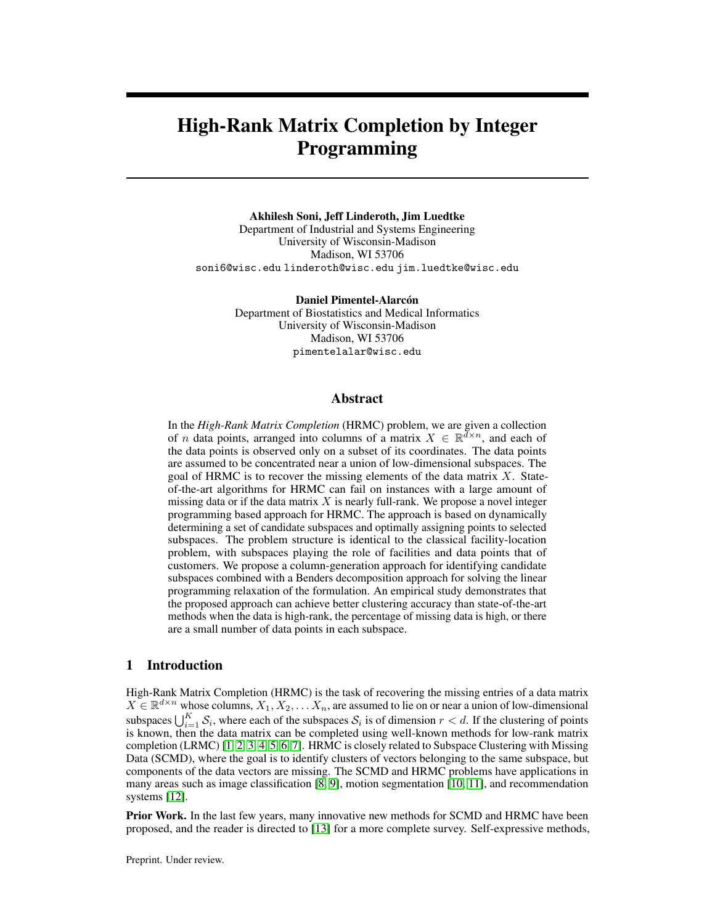<span id="page-14-0"></span>

(c) Effect of points per subspace

Figure 3: Sum of square of residuals from best fit subspace error as a function of missing data,  $d/Kr$ , and # of points per subspace.

smaller than ambient dimension  $(d)$ . MILP yields the smallest residuals in both the low-rank and high-rank regimes.

We study the effect of the average number of points sampled from each subspace in Figure [3c.](#page-14-0) To create this figure, we fix  $d = 30, K = 6, r = 3, f = 65\%$ , and we vary the number of points per subspace between 10-60. We observe that throughout this range, MILP yields the lowest residuals. Self-expressive methods (ZF-SSC and Alt-PZF-EnSC+gLRMC ) do not perform well in these results since there are few points sampled from each subspace.

#### A.4 Synthetic experiments on noisy data

We test all the algorithms on synthetic noisy data. Similar to Section 4.1, we construct  $K$  random subspaces with bases  $U_k \in \mathbb{R}^{d \times r}$ ,  $\forall k \in [K]$ . Each entry of  $U_k$  is sampled from a standard Gaussian. We then generate *n* different data vectors. Each data vector  $j \in [n]$  is sampled from one of the K subspaces with additive white noise i.e.  $X_j = U_k v_j + v_j$  for a random  $k \in [K], v_j \in \mathbb{R}^r$  is sampled from a standard Gaussian, and the elements of  $\nu_j$  are distributed as  $\mathcal{N}(0, 0.3)$ . We consider the same sized instances as in Section 4.1 with additive white noise. We show the misclassification error for this setting in Figure [4](#page-15-0) and the residuals in Figure [5.](#page-16-0) We observe that even with noise, MILP outperforms other methods in the high-missing data regime (Figures [4a](#page-15-0) and [5a\)](#page-16-0), the high-rank regime (Figures [4b](#page-15-0) and [5b\)](#page-16-0), and in the fewer points per subspace regime (Figures [4c](#page-15-0) and [5c\)](#page-16-0).